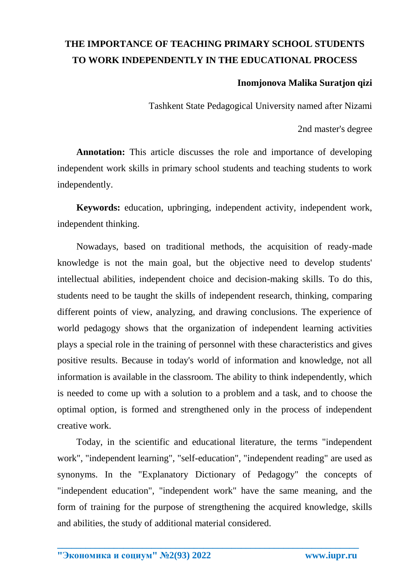## **THE IMPORTANCE OF TEACHING PRIMARY SCHOOL STUDENTS TO WORK INDEPENDENTLY IN THE EDUCATIONAL PROCESS**

## **Inomjonova Malika Suratjon qizi**

Tashkent State Pedagogical University named after Nizami

2nd master's degree

**Annotation:** This article discusses the role and importance of developing independent work skills in primary school students and teaching students to work independently.

**Keywords:** education, upbringing, independent activity, independent work, independent thinking.

Nowadays, based on traditional methods, the acquisition of ready-made knowledge is not the main goal, but the objective need to develop students' intellectual abilities, independent choice and decision-making skills. To do this, students need to be taught the skills of independent research, thinking, comparing different points of view, analyzing, and drawing conclusions. The experience of world pedagogy shows that the organization of independent learning activities plays a special role in the training of personnel with these characteristics and gives positive results. Because in today's world of information and knowledge, not all information is available in the classroom. The ability to think independently, which is needed to come up with a solution to a problem and a task, and to choose the optimal option, is formed and strengthened only in the process of independent creative work.

Today, in the scientific and educational literature, the terms "independent work", "independent learning", "self-education", "independent reading" are used as synonyms. In the "Explanatory Dictionary of Pedagogy" the concepts of "independent education", "independent work" have the same meaning, and the form of training for the purpose of strengthening the acquired knowledge, skills and abilities, the study of additional material considered.

**\_\_\_\_\_\_\_\_\_\_\_\_\_\_\_\_\_\_\_\_\_\_\_\_\_\_\_\_\_\_\_\_\_\_\_\_\_\_\_\_\_\_\_\_\_\_\_\_\_\_\_\_\_\_\_\_\_\_\_\_\_\_\_\_**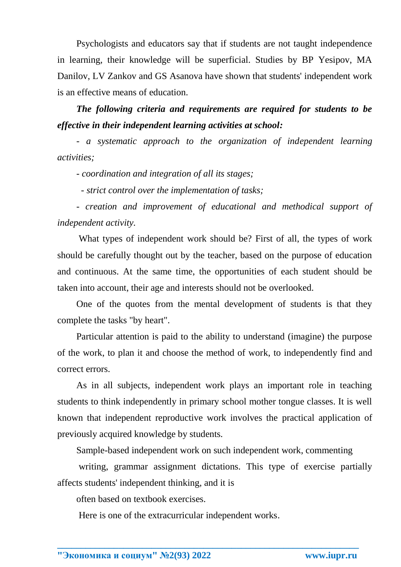Psychologists and educators say that if students are not taught independence in learning, their knowledge will be superficial. Studies by BP Yesipov, MA Danilov, LV Zankov and GS Asanova have shown that students' independent work is an effective means of education.

*The following criteria and requirements are required for students to be effective in their independent learning activities at school:* 

*- a systematic approach to the organization of independent learning activities;*

*- coordination and integration of all its stages;*

 *- strict control over the implementation of tasks;*

*- creation and improvement of educational and methodical support of independent activity.* 

What types of independent work should be? First of all, the types of work should be carefully thought out by the teacher, based on the purpose of education and continuous. At the same time, the opportunities of each student should be taken into account, their age and interests should not be overlooked.

One of the quotes from the mental development of students is that they complete the tasks "by heart".

Particular attention is paid to the ability to understand (imagine) the purpose of the work, to plan it and choose the method of work, to independently find and correct errors.

As in all subjects, independent work plays an important role in teaching students to think independently in primary school mother tongue classes. It is well known that independent reproductive work involves the practical application of previously acquired knowledge by students.

Sample-based independent work on such independent work, commenting

writing, grammar assignment dictations. This type of exercise partially affects students' independent thinking, and it is

**\_\_\_\_\_\_\_\_\_\_\_\_\_\_\_\_\_\_\_\_\_\_\_\_\_\_\_\_\_\_\_\_\_\_\_\_\_\_\_\_\_\_\_\_\_\_\_\_\_\_\_\_\_\_\_\_\_\_\_\_\_\_\_\_**

often based on textbook exercises.

Here is one of the extracurricular independent works.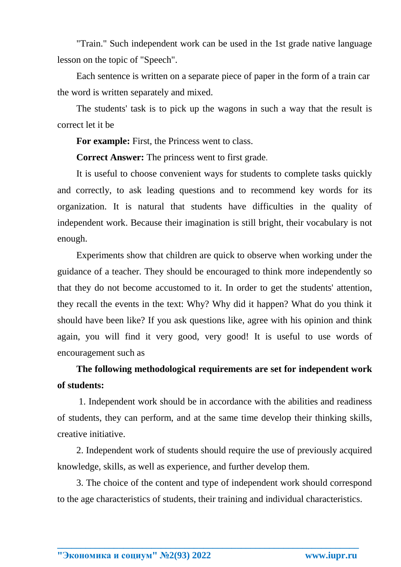"Train." Such independent work can be used in the 1st grade native language lesson on the topic of "Speech".

Each sentence is written on a separate piece of paper in the form of a train car the word is written separately and mixed.

The students' task is to pick up the wagons in such a way that the result is correct let it be

For example: First, the Princess went to class.

**Correct Answer:** The princess went to first grade.

It is useful to choose convenient ways for students to complete tasks quickly and correctly, to ask leading questions and to recommend key words for its organization. It is natural that students have difficulties in the quality of independent work. Because their imagination is still bright, their vocabulary is not enough.

Experiments show that children are quick to observe when working under the guidance of a teacher. They should be encouraged to think more independently so that they do not become accustomed to it. In order to get the students' attention, they recall the events in the text: Why? Why did it happen? What do you think it should have been like? If you ask questions like, agree with his opinion and think again, you will find it very good, very good! It is useful to use words of encouragement such as

## **The following methodological requirements are set for independent work of students:**

1. Independent work should be in accordance with the abilities and readiness of students, they can perform, and at the same time develop their thinking skills, creative initiative.

2. Independent work of students should require the use of previously acquired knowledge, skills, as well as experience, and further develop them.

3. The choice of the content and type of independent work should correspond to the age characteristics of students, their training and individual characteristics.

**\_\_\_\_\_\_\_\_\_\_\_\_\_\_\_\_\_\_\_\_\_\_\_\_\_\_\_\_\_\_\_\_\_\_\_\_\_\_\_\_\_\_\_\_\_\_\_\_\_\_\_\_\_\_\_\_\_\_\_\_\_\_\_\_**